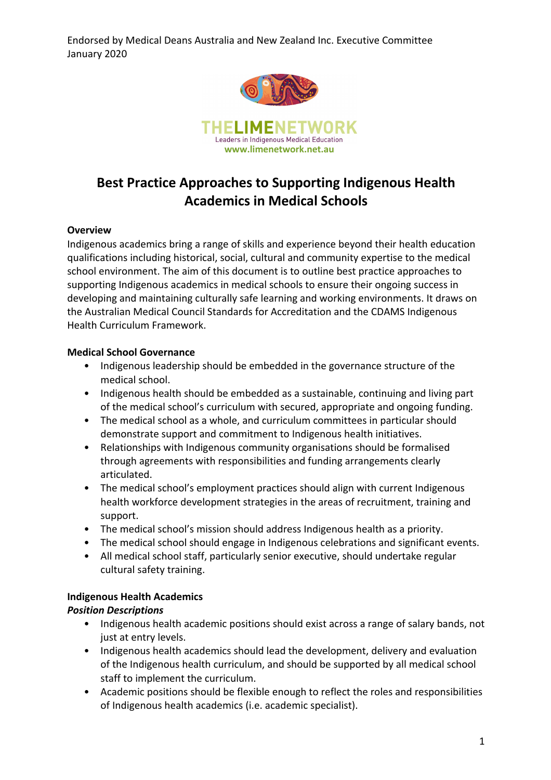

# **Best Practice Approaches to Supporting Indigenous Health Academics in Medical Schools**

#### **Overview**

Indigenous academics bring a range of skills and experience beyond their health education qualifications including historical, social, cultural and community expertise to the medical school environment. The aim of this document is to outline best practice approaches to supporting Indigenous academics in medical schools to ensure their ongoing success in developing and maintaining culturally safe learning and working environments. It draws on the Australian Medical Council Standards for Accreditation and the CDAMS Indigenous Health Curriculum Framework.

#### **Medical School Governance**

- Indigenous leadership should be embedded in the governance structure of the medical school.
- Indigenous health should be embedded as a sustainable, continuing and living part of the medical school's curriculum with secured, appropriate and ongoing funding.
- The medical school as a whole, and curriculum committees in particular should demonstrate support and commitment to Indigenous health initiatives.
- Relationships with Indigenous community organisations should be formalised through agreements with responsibilities and funding arrangements clearly articulated.
- The medical school's employment practices should align with current Indigenous health workforce development strategies in the areas of recruitment, training and support.
- The medical school's mission should address Indigenous health as a priority.
- The medical school should engage in Indigenous celebrations and significant events.
- All medical school staff, particularly senior executive, should undertake regular cultural safety training.

#### **Indigenous Health Academics**

#### *Position Descriptions*

- Indigenous health academic positions should exist across a range of salary bands, not just at entry levels.
- Indigenous health academics should lead the development, delivery and evaluation of the Indigenous health curriculum, and should be supported by all medical school staff to implement the curriculum.
- Academic positions should be flexible enough to reflect the roles and responsibilities of Indigenous health academics (i.e. academic specialist).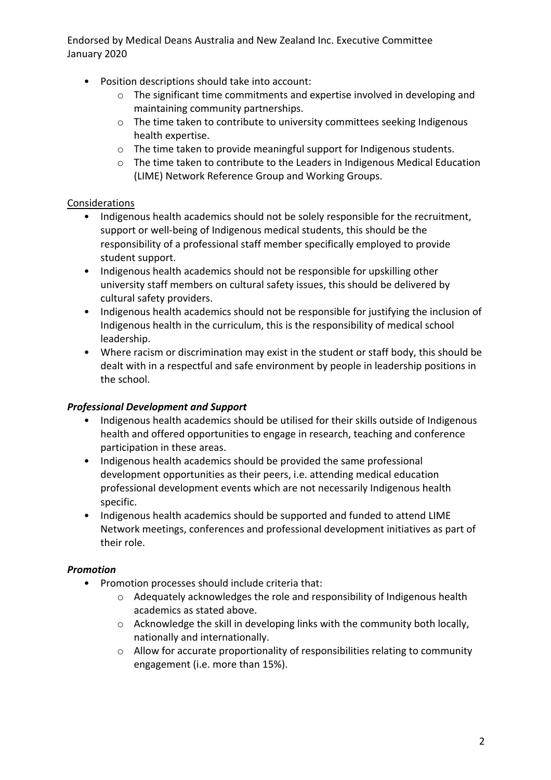- Position descriptions should take into account:
	- o The significant time commitments and expertise involved in developing and maintaining community partnerships.
	- o The time taken to contribute to university committees seeking Indigenous health expertise.
	- o The time taken to provide meaningful support for Indigenous students.
	- o The time taken to contribute to the Leaders in Indigenous Medical Education (LIME) Network Reference Group and Working Groups.

## Considerations

- Indigenous health academics should not be solely responsible for the recruitment, support or well-being of Indigenous medical students, this should be the responsibility of a professional staff member specifically employed to provide student support.
- Indigenous health academics should not be responsible for upskilling other university staff members on cultural safety issues, this should be delivered by cultural safety providers.
- Indigenous health academics should not be responsible for justifying the inclusion of Indigenous health in the curriculum, this is the responsibility of medical school leadership.
- Where racism or discrimination may exist in the student or staff body, this should be dealt with in a respectful and safe environment by people in leadership positions in the school.

## *Professional Development and Support*

- Indigenous health academics should be utilised for their skills outside of Indigenous health and offered opportunities to engage in research, teaching and conference participation in these areas.
- Indigenous health academics should be provided the same professional development opportunities as their peers, i.e. attending medical education professional development events which are not necessarily Indigenous health specific.
- Indigenous health academics should be supported and funded to attend LIME Network meetings, conferences and professional development initiatives as part of their role.

## *Promotion*

- Promotion processes should include criteria that:
	- o Adequately acknowledges the role and responsibility of Indigenous health academics as stated above.
	- o Acknowledge the skill in developing links with the community both locally, nationally and internationally.
	- o Allow for accurate proportionality of responsibilities relating to community engagement (i.e. more than 15%).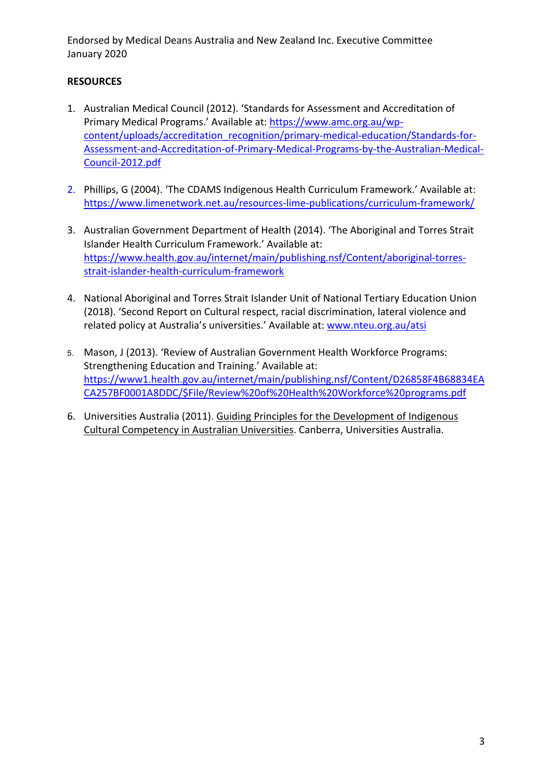## **RESOURCES**

- 1. Australian Medical Council (2012). 'Standards for Assessment and Accreditation of Primary Medical Programs.' Available at: https://www.amc.org.au/wpcontent/uploads/accreditation\_recognition/primary-medical-education/Standards-for-Assessment-and-Accreditation-of-Primary-Medical-Programs-by-the-Australian-Medical-Council-2012.pdf
- 2. Phillips, G (2004). 'The CDAMS Indigenous Health Curriculum Framework.' Available at: https://www.limenetwork.net.au/resources-lime-publications/curriculum-framework/
- 3. Australian Government Department of Health (2014). 'The Aboriginal and Torres Strait Islander Health Curriculum Framework.' Available at: https://www.health.gov.au/internet/main/publishing.nsf/Content/aboriginal-torresstrait-islander-health-curriculum-framework
- 4. National Aboriginal and Torres Strait Islander Unit of National Tertiary Education Union (2018). 'Second Report on Cultural respect, racial discrimination, lateral violence and related policy at Australia's universities.' Available at: www.nteu.org.au/atsi
- 5. Mason, J (2013). 'Review of Australian Government Health Workforce Programs: Strengthening Education and Training.' Available at: https://www1.health.gov.au/internet/main/publishing.nsf/Content/D26858F4B68834EA CA257BF0001A8DDC/\$File/Review%20of%20Health%20Workforce%20programs.pdf
- 6. Universities Australia (2011). Guiding Principles for the Development of Indigenous Cultural Competency in Australian Universities. Canberra, Universities Australia.